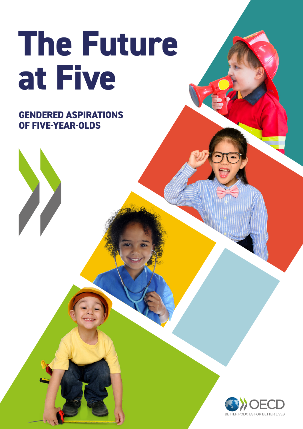# **The Future at Five**

**GENDERED ASPIRATIONS OF FIVE-YEAR-OLDS**

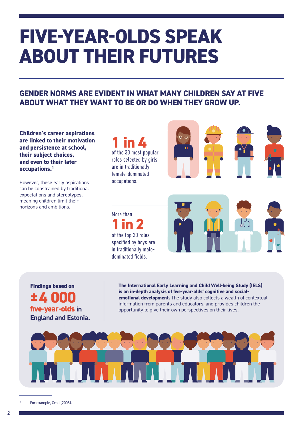## **FIVE-YEAR-OLDS SPEAK ABOUT THEIR FUTURES**

## **GENDER NORMS ARE EVIDENT IN WHAT MANY CHILDREN SAY AT FIVE ABOUT WHAT THEY WANT TO BE OR DO WHEN THEY GROW UP.**

**Children's career aspirations are linked to their motivation and persistence at school, their subject choices, and even to their later occupations.1** 

However, these early aspirations can be constrained by traditional expectations and stereotypes, meaning children limit their horizons and ambitions.

**1 in 4**  of the 30 most popular roles selected by girls are in traditionally female-dominated occupations.



More than **1 in 2** of the top 30 roles specified by boys are in traditionally maledominated fields.



**Findings based on ±4 000 five-year-olds in England and Estonia.** **The International Early Learning and Child Well-being Study (IELS) is an in-depth analysis of five-year-olds' cognitive and socialemotional development.** The study also collects a wealth of contextual information from parents and educators, and provides children the opportunity to give their own perspectives on their lives.



For example, Croll (2008).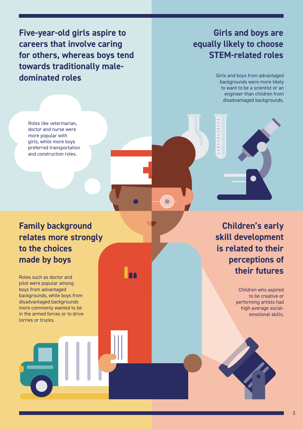**Five-year-old girls aspire to careers that involve caring for others, whereas boys tend towards traditionally maledominated roles** 

Roles like veterinarian, doctor and nurse were more popular with girls, while more boys preferred transportation and construction roles.

## **Family background relates more strongly to the choices made by boys**

Roles such as doctor and pilot were popular among boys from advantaged backgrounds, while boys from disadvantaged backgrounds more commonly wanted to be in the armed forces or to drive lorries or trucks.

## **Girls and boys are equally likely to choose STEM-related roles**

Girls and boys from advantaged backgrounds were more likely to want to be a scientist or an engineer than children from disadvantaged backgrounds.



 $\bullet$ 

**Children's early skill development is related to their perceptions of their futures**

> Children who aspired to be creative or performing artists had high average socialemotional skills.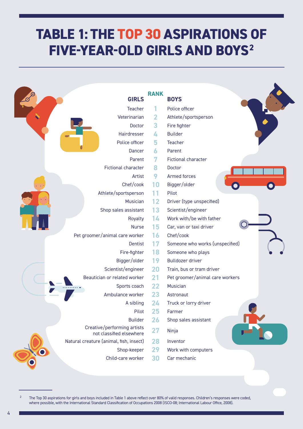## **TABLE 1: THE TOP 30 ASPIRATIONS OF FIVE-YEAR-OLD GIRLS AND BOYS2**

| <b>GIRLS</b>                                            | <b>RANK</b> | <b>BOYS</b>                     |
|---------------------------------------------------------|-------------|---------------------------------|
| <b>Teacher</b>                                          |             | Police officer                  |
| Veterinarian                                            | 2           | Athlete/sportsperson            |
| Doctor                                                  | 3           | Fire fighter                    |
| Hairdresser                                             | 4           | <b>Builder</b>                  |
| Police officer                                          | 5           | <b>Teacher</b>                  |
| Dancer                                                  | 6           | Parent                          |
| Parent                                                  |             | <b>Fictional character</b>      |
| <b>Fictional character</b>                              | 8           | Doctor                          |
| Artist                                                  | 9           | Armed forces                    |
| Chef/cook                                               | 10          | Bigger/older                    |
| Athlete/sportsperson                                    | 11          | Pilot                           |
| Musician                                                | 12          | Driver (type unspecified)       |
| Shop sales assistant                                    | 13          | Scientist/engineer              |
| Royalty                                                 | 14          | Work with/be with father        |
| <b>Nurse</b>                                            | 15          | Car, van or taxi driver         |
| Pet groomer/animal care worker                          | 16          | Chef/cook                       |
| <b>Dentist</b>                                          | 17          | Someone who works (unspecified) |
| Fire-fighter                                            | 18          | Someone who plays               |
| Bigger/older                                            | 19          | <b>Bulldozer driver</b>         |
| Scientist/engineer                                      | 20          | Train, bus or tram driver       |
| Beautician or related worker                            | 21          | Pet groomer/animal care workers |
| Sports coach                                            | 22          | Musician                        |
| Ambulance worker                                        | 23          | Astronaut                       |
| A sibling                                               | 24          | Truck or lorry driver           |
| Pilot                                                   | 25          | Farmer                          |
| <b>Builder</b>                                          | 26          | Shop sales assistant            |
| Creative/performing artists<br>not classified elsewhere | 27          | Ninja                           |
| Natural creature (animal, fish, insect)                 | 28          | Inventor                        |
| Shop-keeper                                             | 29          | Work with computers             |
| Child-care worker                                       | 30          | Car mechanic                    |

<sup>2</sup> The Top 30 aspirations for girls and boys included in Table 1 above reflect over 80% of valid responses. Children's responses were coded, where possible, with the International Standard Classification of Occupations 2008 (ISCO-08; International Labour Office, 2008).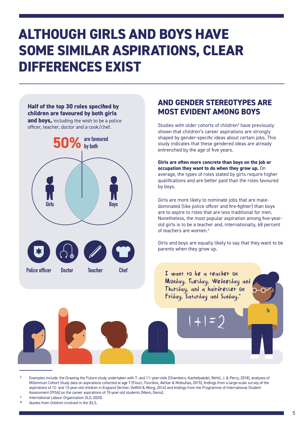## **ALTHOUGH GIRLS AND BOYS HAVE SOME SIMILAR ASPIRATIONS, CLEAR DIFFERENCES EXIST**

### **Half of the top 30 roles specified by children are favoured by both girls and boys,** including the wish to be a police officer, teacher, doctor and a cook/chef.



## **AND GENDER STEREOTYPES ARE MOST EVIDENT AMONG BOYS**

Studies with older cohorts of children<sup>3</sup> have previously shown that children's career aspirations are strongly shaped by gender-specific ideas about certain jobs. This study indicates that these gendered ideas are already entrenched by the age of five years.

**Girls are often more concrete than boys on the job or occupation they want to do when they grow up.** On average, the types of roles stated by girls require higher qualifications and are better paid than the roles favoured by boys.

Girls are more likely to nominate jobs that are maledominated (like police officer and fire-fighter) than boys are to aspire to roles that are less traditional for men. Nonetheless, the most popular aspiration among five-yearold girls is to be a teacher and, internationally, 68 percent of teachers are women.4

Girls and boys are equally likely to say that they want to be parents when they grow up.



<sup>3</sup> Examples include: the Drawing the Future study undertaken with 7- and 11–year-olds (Chambers, Kashefpakdel, Rehill, J. & Percy, 2018), analyses of Millennium Cohort Study data on aspirations collected at age 7 (Flouri, Tsivrikos, Akhtar & Midouhas, 2015), findings from a large-scale survey of the aspirations of 12- and 13-year-old children in England (Archer, DeWitt & Wong, 2014) and findings from the Programme of International Student Assessment (PISA) on the career aspirations of 15-year-old students (Mann, Denis).

Quotes from children involved in the IELS.

International Labour Organisation (ILO, 2020).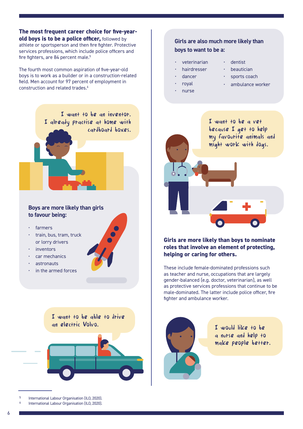**The most frequent career choice for five-yearold boys is to be a police officer,** followed by athlete or sportsperson and then fire fighter. Protective services professions, which include police officers and fire fighters, are 84 percent male.<sup>5</sup>

The fourth most common aspiration of five-year-old boys is to work as a builder or in a construction-related field. Men account for 97 percent of employment in construction and related trades.<sup>6</sup>

> I want to be an inventor. I already practise at home with cardboard boxes.

### **Boys are more likely than girls to favour being:**

- farmers
- train, bus, tram, truck or lorry drivers
- inventors
- car mechanics
- astronauts
- in the armed forces

I want to be able to drive an electric Volvo. Two states of the state of the state of the state of the state of the state of the state of the state of the state of the state of the state of the state of the state of the state of the state of the sta

- International Labour Organisation (ILO, 2020).
- International Labour Organisation (ILO, 2020).

## **Girls are also much more likely than boys to want to be a:**

- veterinarian
- dentist
- hairdresser • dancer
- **beautician** • sports coach
- royal
- ambulance worker
- nurse
- I want to be a vet because I get to help my favourite animals and might work with dogs.

**Girls are more likely than boys to nominate roles that involve an element of protecting, helping or caring for others.**

These include female-dominated professions such as teacher and nurse, occupations that are largely gender-balanced (e.g. doctor, veterinarian), as well as protective services professions that continue to be male-dominated. The latter include police officer, fire fighter and ambulance worker.



a nurse and help to make people better.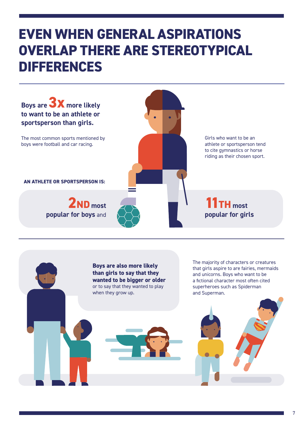## **EVEN WHEN GENERAL ASPIRATIONS OVERLAP THERE ARE STEREOTYPICAL DIFFERENCES**

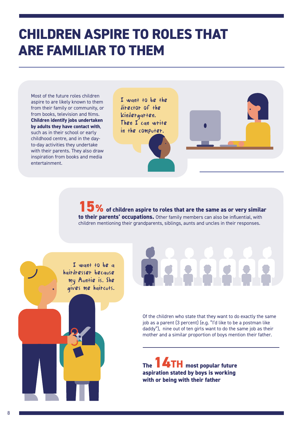## **CHILDREN ASPIRE TO ROLES THAT ARE FAMILIAR TO THEM**

Most of the future roles children aspire to are likely known to them from their family or community, or from books, television and films. **Children identify jobs undertaken by adults they have contact with**, such as in their school or early childhood centre, and in the dayto-day activities they undertake with their parents. They also draw inspiration from books and media entertainment.

I want to be the director of the kindergarten. Then I can write in the computer.





**15%** of children aspire to roles that are the same as or very similar **to their parents' occupations.** Other family members can also be influential, with children mentioning their grandparents, siblings, aunts and uncles in their responses.

I want to be a hairdresser because my Auntie is. She gives me haircuts.

Of the children who state that they want to do exactly the same job as a parent (3 percent) (e.g. "I'd like to be a postman like daddy"), nine out of ten girls want to do the same job as their mother and a similar proportion of boys mention their father.

**The 14TH most popular future aspiration stated by boys is working with or being with their father**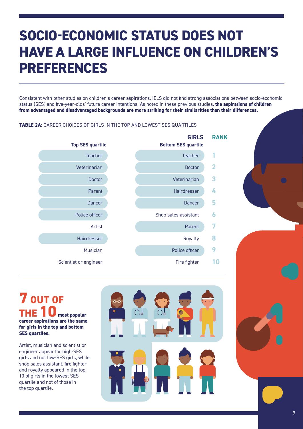## **SOCIO-ECONOMIC STATUS DOES NOT HAVE A LARGE INFLUENCE ON CHILDREN'S PREFERENCES**

Consistent with other studies on children's career aspirations, IELS did not find strong associations between socio-economic status (SES) and five-year-olds' future career intentions. As noted in these previous studies, **the aspirations of children from advantaged and disadvantaged backgrounds are more striking for their similarities than their differences.**

### **TABLE 2A:** CAREER CHOICES OF GIRLS IN THE TOP AND LOWEST SES QUARTILES



**7 OUT OF THE 10 most popular career aspirations are the same for girls in the top and bottom SES quartiles.**

Artist, musician and scientist or engineer appear for high-SES girls and not low-SES girls, while shop sales assistant, fire fighter and royalty appeared in the top 10 of girls in the lowest SES quartile and not of those in the top quartile.

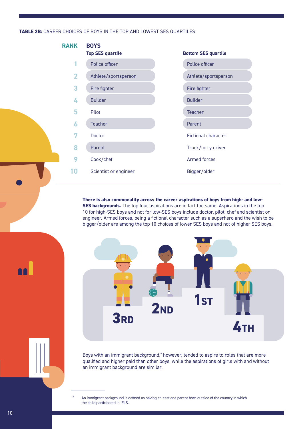### **TABLE 2B:** CAREER CHOICES OF BOYS IN THE TOP AND LOWEST SES QUARTILES



**There is also commonality across the career aspirations of boys from high- and low-SES backgrounds.** The top four aspirations are in fact the same. Aspirations in the top 10 for high-SES boys and not for low-SES boys include doctor, pilot, chef and scientist or engineer. Armed forces, being a fictional character such as a superhero and the wish to be bigger/older are among the top 10 choices of lower SES boys and not of higher SES boys.



Boys with an immigrant background, $7$  however, tended to aspire to roles that are more qualified and higher paid than other boys, while the aspirations of girls with and without an immigrant background are similar.

An immigrant background is defined as having at least one parent born outside of the country in which the child participated in IELS.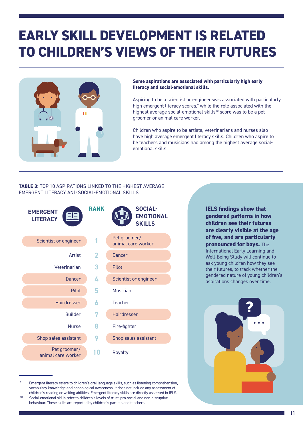## **EARLY SKILL DEVELOPMENT IS RELATED TO CHILDREN'S VIEWS OF THEIR FUTURES**



### **Some aspirations are associated with particularly high early literacy and social-emotional skills.**

Aspiring to be a scientist or engineer was associated with particularly high emergent literacy scores,<sup>9</sup> while the role associated with the highest average social-emotional skills<sup>10</sup> score was to be a pet groomer or animal care worker.

Children who aspire to be artists, veterinarians and nurses also have high average emergent literacy skills. Children who aspire to be teachers and musicians had among the highest average socialemotional skills.

### **TABLE 3:** TOP 10 ASPIRATIONS LINKED TO THE HIGHEST AVERAGE EMERGENT LITERACY AND SOCIAL-EMOTIONAL SKILLS



Emergent literacy refers to children's oral language skills, such as listening comprehension, vocabulary knowledge and phonological awareness. It does not include any assessment of children's reading or writing abilities. Emergent literacy skills are directly assessed in IELS.<br>Social-emotional skills refer to children's levels of trust, pro-social and non-disruptive

**IELS findings show that gendered patterns in how children see their futures are clearly visible at the age of five, and are particularly pronounced for boys.** The International Early Learning and Well-Being Study will continue to ask young children how they see their futures, to track whether the gendered nature of young children's aspirations changes over time.

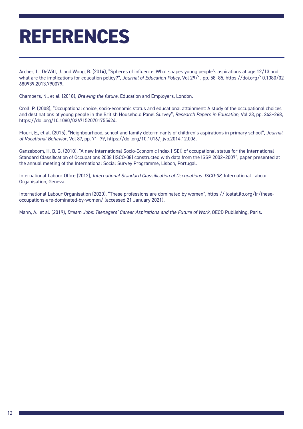## **REFERENCES**

Archer, L., DeWitt, J. and Wong, B. (2014), "Spheres of influence: What shapes young people's aspirations at age 12/13 and what are the implications for education policy?", *Journal of Education Policy*, Vol 29/1, pp. 58–85, [https://doi.org/10.1080/02](https://doi.org/10.1080/02680939.2013.790079) [680939.2013.790079.](https://doi.org/10.1080/02680939.2013.790079)

Chambers, N., et al. (2018), *Drawing the future*. Education and Employers, London.

Croll, P. (2008), "Occupational choice, socio-economic status and educational attainment: A study of the occupational choices and destinations of young people in the British Household Panel Survey", *Research Papers in Education*, Vol 23, pp. 243–268, <https://doi.org/10.1080/02671520701755424>.

Flouri, E., et al. (2015), "Neighbourhood, school and family determinants of children's aspirations in primary school", *Journal of Vocational Behavior*, Vol 87, pp. 71–79, <https://doi.org/10.1016/j.jvb.2014.12.006>.

Ganzeboom, H. B. G. (2010), "A new International Socio-Economic Index (ISEI) of occupational status for the International Standard Classification of Occupations 2008 (ISCO-08) constructed with data from the ISSP 2002–2007", paper presented at the annual meeting of the International Social Survey Programme, Lisbon, Portugal.

International Labour Office (2012), *International Standard Classification of Occupations: ISCO-08*, International Labour Organisation, Geneva.

International Labour Organisation (2020), "These professions are dominated by women", [https://ilostat.ilo.org/fr/these](https://ilostat.ilo.org/fr/these-occupations-are-dominated-by-women/)[occupations-are-dominated-by-women/](https://ilostat.ilo.org/fr/these-occupations-are-dominated-by-women/) (accessed 21 January 2021).

Mann, A., et al. (2019), *Dream Jobs: Teenagers' Career Aspirations and the Future of Work*, OECD Publishing, Paris.